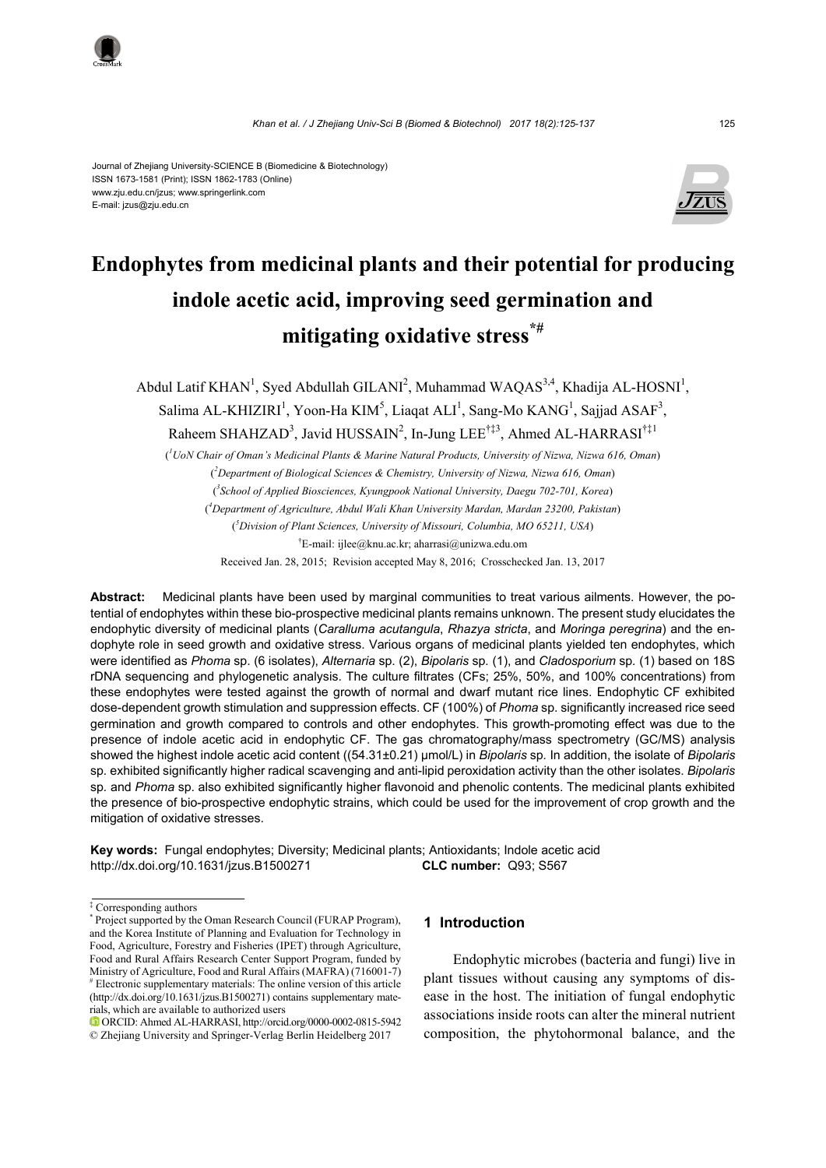#### Journal of Zhejiang University-SCIENCE B (Biomedicine & Biotechnology) ISSN 1673-1581 (Print); ISSN 1862-1783 (Online) www.zju.edu.cn/jzus; www.springerlink.com E-mail: jzus@zju.edu.cn



# **Endophytes from medicinal plants and their potential for producing indole acetic acid, improving seed germination and mitigating oxidative stress\*#**

Abdul Latif KHAN<sup>1</sup>, Syed Abdullah GILANI<sup>2</sup>, Muhammad WAQAS<sup>3,4</sup>, Khadija AL-HOSNI<sup>1</sup>, Salima AL-KHIZIRI<sup>1</sup>, Yoon-Ha KIM<sup>5</sup>, Liaqat ALI<sup>1</sup>, Sang-Mo KANG<sup>1</sup>, Sajjad ASAF<sup>3</sup>,

Raheem SHAHZAD<sup>3</sup>, Javid HUSSAIN<sup>2</sup>, In-Jung LEE<sup>†‡3</sup>, Ahmed AL-HARRASI<sup>†‡1</sup>

( *1 UoN Chair of Oman's Medicinal Plants & Marine Natural Products, University of Nizwa, Nizwa 616, Oman*) ( *2 Department of Biological Sciences & Chemistry, University of Nizwa, Nizwa 616, Oman*) ( *3 School of Applied Biosciences, Kyungpook National University, Daegu 702-701, Korea*) ( *4 Department of Agriculture, Abdul Wali Khan University Mardan, Mardan 23200, Pakistan*) ( *5 Division of Plant Sciences, University of Missouri, Columbia, MO 65211, USA*) † E-mail: ijlee@knu.ac.kr; aharrasi@unizwa.edu.om Received Jan. 28, 2015; Revision accepted May 8, 2016; Crosschecked Jan. 13, 2017

**Abstract:** Medicinal plants have been used by marginal communities to treat various ailments. However, the potential of endophytes within these bio-prospective medicinal plants remains unknown. The present study elucidates the endophytic diversity of medicinal plants (*Caralluma acutangula*, *Rhazya stricta*, and *Moringa peregrina*) and the endophyte role in seed growth and oxidative stress. Various organs of medicinal plants yielded ten endophytes, which were identified as *Phoma* sp. (6 isolates), *Alternaria* sp. (2), *Bipolaris* sp*.* (1), and *Cladosporium* sp*.* (1) based on 18S rDNA sequencing and phylogenetic analysis. The culture filtrates (CFs; 25%, 50%, and 100% concentrations) from these endophytes were tested against the growth of normal and dwarf mutant rice lines. Endophytic CF exhibited dose-dependent growth stimulation and suppression effects. CF (100%) of *Phoma* sp. significantly increased rice seed germination and growth compared to controls and other endophytes. This growth-promoting effect was due to the presence of indole acetic acid in endophytic CF. The gas chromatography/mass spectrometry (GC/MS) analysis showed the highest indole acetic acid content ((54.31±0.21) µmol/L) in *Bipolaris* sp*.* In addition, the isolate of *Bipolaris*  sp*.* exhibited significantly higher radical scavenging and anti-lipid peroxidation activity than the other isolates. *Bipolaris*  sp*.* and *Phoma* sp. also exhibited significantly higher flavonoid and phenolic contents. The medicinal plants exhibited the presence of bio-prospective endophytic strains, which could be used for the improvement of crop growth and the mitigation of oxidative stresses.

**Key words:** Fungal endophytes; Diversity; Medicinal plants; Antioxidants; Indole acetic acid http://dx.doi.org/10.1631/jzus.B1500271 **CLC number:** Q93; S567

‡ Corresponding authors

## **1 Introduction**

Endophytic microbes (bacteria and fungi) live in plant tissues without causing any symptoms of disease in the host. The initiation of fungal endophytic associations inside roots can alter the mineral nutrient composition, the phytohormonal balance, and the

<sup>\*</sup> Project supported by the Oman Research Council (FURAP Program), and the Korea Institute of Planning and Evaluation for Technology in Food, Agriculture, Forestry and Fisheries (IPET) through Agriculture, Food and Rural Affairs Research Center Support Program, funded by Ministry of Agriculture, Food and Rural Affairs (MAFRA) (716001-7) # Electronic supplementary materials: The online version of this article (http://dx.doi.org/10.1631/jzus.B1500271) contains supplementary materials, which are available to authorized users

ORCID: Ahmed AL-HARRASI, http://orcid.org/0000-0002-0815-5942 © Zhejiang University and Springer-Verlag Berlin Heidelberg 2017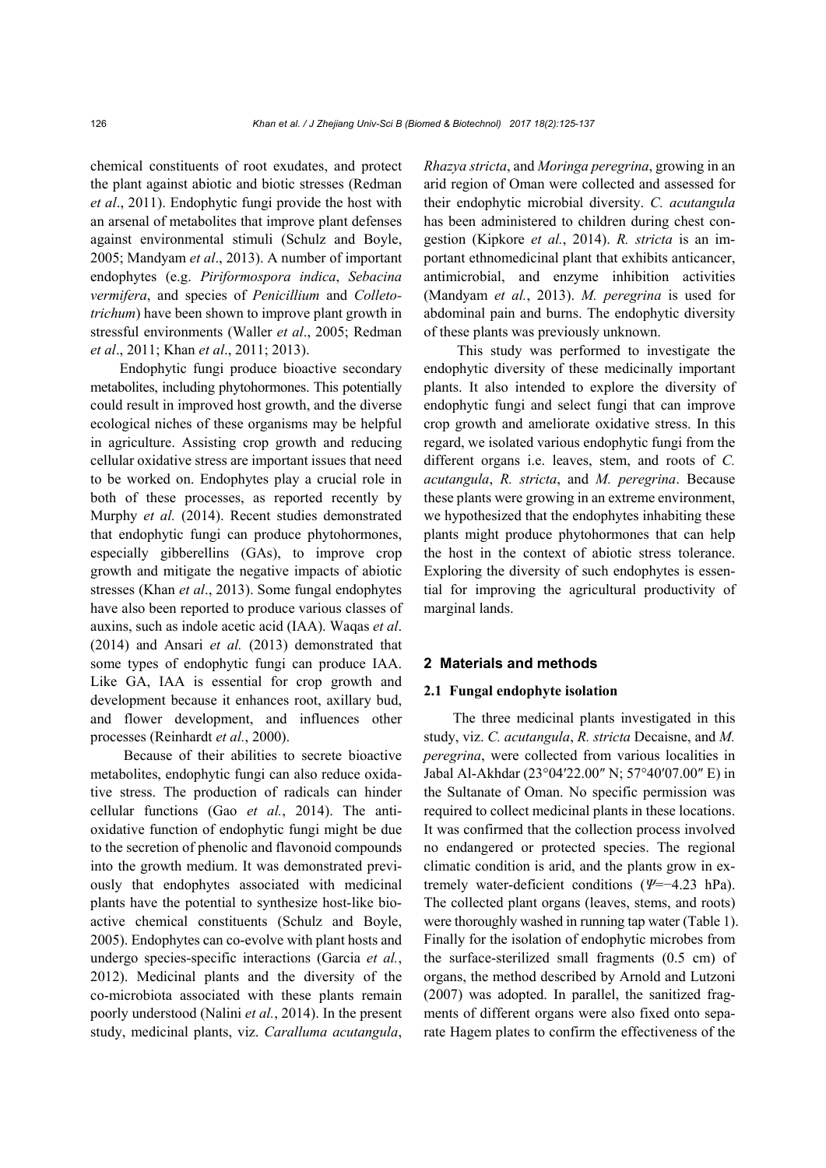chemical constituents of root exudates, and protect the plant against abiotic and biotic stresses (Redman *et al*., 2011). Endophytic fungi provide the host with an arsenal of metabolites that improve plant defenses against environmental stimuli (Schulz and Boyle, 2005; Mandyam *et al*., 2013). A number of important endophytes (e.g. *Piriformospora indica*, *Sebacina vermifera*, and species of *Penicillium* and *Colletotrichum*) have been shown to improve plant growth in stressful environments (Waller *et al*., 2005; Redman *et al*., 2011; Khan *et al*., 2011; 2013).

Endophytic fungi produce bioactive secondary metabolites, including phytohormones. This potentially could result in improved host growth, and the diverse ecological niches of these organisms may be helpful in agriculture. Assisting crop growth and reducing cellular oxidative stress are important issues that need to be worked on. Endophytes play a crucial role in both of these processes, as reported recently by Murphy *et al.* (2014). Recent studies demonstrated that endophytic fungi can produce phytohormones, especially gibberellins (GAs), to improve crop growth and mitigate the negative impacts of abiotic stresses (Khan *et al*., 2013). Some fungal endophytes have also been reported to produce various classes of auxins, such as indole acetic acid (IAA). Waqas *et al*. (2014) and Ansari *et al.* (2013) demonstrated that some types of endophytic fungi can produce IAA. Like GA, IAA is essential for crop growth and development because it enhances root, axillary bud, and flower development, and influences other processes (Reinhardt *et al.*, 2000).

Because of their abilities to secrete bioactive metabolites, endophytic fungi can also reduce oxidative stress. The production of radicals can hinder cellular functions (Gao *et al.*, 2014). The antioxidative function of endophytic fungi might be due to the secretion of phenolic and flavonoid compounds into the growth medium. It was demonstrated previously that endophytes associated with medicinal plants have the potential to synthesize host-like bioactive chemical constituents (Schulz and Boyle, 2005). Endophytes can co-evolve with plant hosts and undergo species-specific interactions (Garcia *et al.*, 2012). Medicinal plants and the diversity of the co-microbiota associated with these plants remain poorly understood (Nalini *et al.*, 2014). In the present study, medicinal plants, viz. *Caralluma acutangula*,

*Rhazya stricta*, and *Moringa peregrina*, growing in an arid region of Oman were collected and assessed for their endophytic microbial diversity. *C. acutangula*  has been administered to children during chest congestion (Kipkore *et al.*, 2014). *R. stricta* is an important ethnomedicinal plant that exhibits anticancer, antimicrobial, and enzyme inhibition activities (Mandyam *et al.*, 2013). *M. peregrina* is used for abdominal pain and burns. The endophytic diversity of these plants was previously unknown.

This study was performed to investigate the endophytic diversity of these medicinally important plants. It also intended to explore the diversity of endophytic fungi and select fungi that can improve crop growth and ameliorate oxidative stress. In this regard, we isolated various endophytic fungi from the different organs i.e. leaves, stem, and roots of *C. acutangula*, *R. stricta*, and *M. peregrina*. Because these plants were growing in an extreme environment, we hypothesized that the endophytes inhabiting these plants might produce phytohormones that can help the host in the context of abiotic stress tolerance. Exploring the diversity of such endophytes is essential for improving the agricultural productivity of marginal lands.

#### **2 Materials and methods**

#### **2.1 Fungal endophyte isolation**

The three medicinal plants investigated in this study, viz. *C. acutangula*, *R. stricta* Decaisne, and *M. peregrina*, were collected from various localities in Jabal Al-Akhdar (23°04′22.00″ N; 57°40′07.00″ E) in the Sultanate of Oman. No specific permission was required to collect medicinal plants in these locations. It was confirmed that the collection process involved no endangered or protected species. The regional climatic condition is arid, and the plants grow in extremely water-deficient conditions (*Ψ*=−4.23 hPa). The collected plant organs (leaves, stems, and roots) were thoroughly washed in running tap water (Table 1). Finally for the isolation of endophytic microbes from the surface-sterilized small fragments (0.5 cm) of organs, the method described by Arnold and Lutzoni (2007) was adopted. In parallel, the sanitized fragments of different organs were also fixed onto separate Hagem plates to confirm the effectiveness of the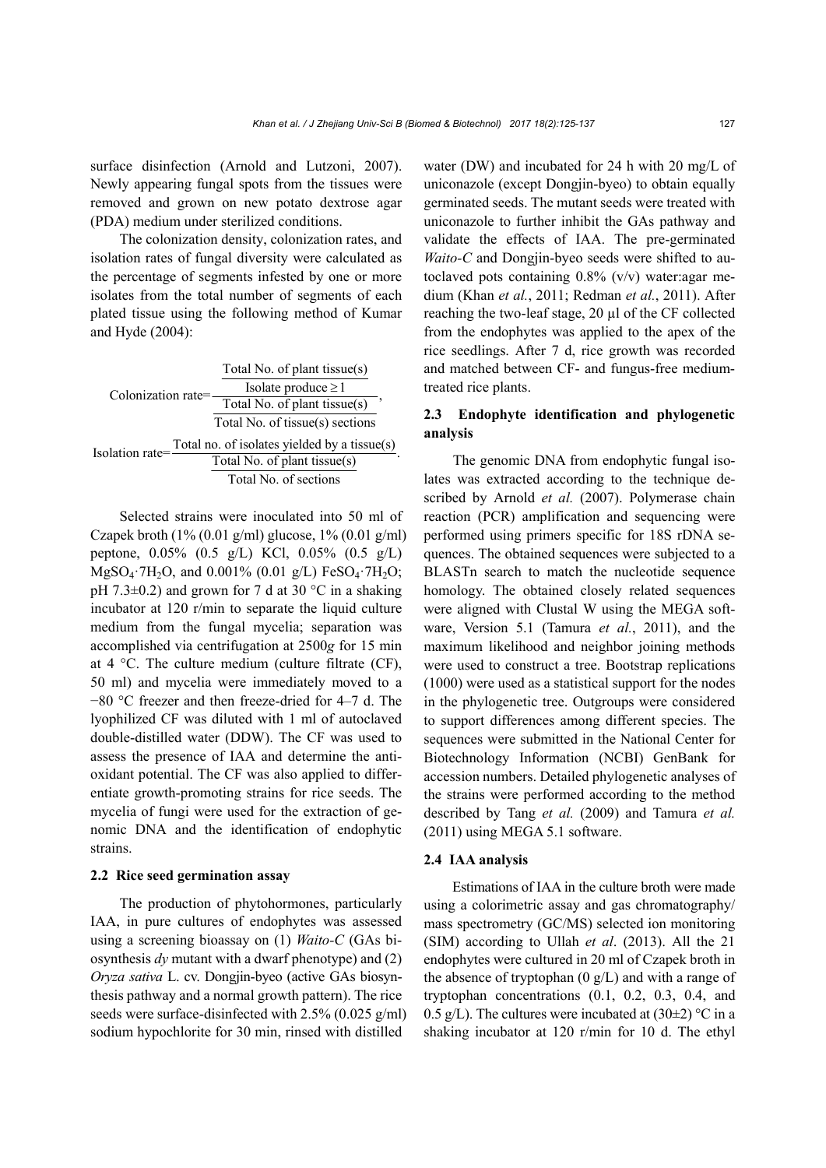surface disinfection (Arnold and Lutzoni, 2007). Newly appearing fungal spots from the tissues were removed and grown on new potato dextrose agar (PDA) medium under sterilized conditions.

The colonization density, colonization rates, and isolation rates of fungal diversity were calculated as the percentage of segments infested by one or more isolates from the total number of segments of each plated tissue using the following method of Kumar and Hyde (2004):



Selected strains were inoculated into 50 ml of Czapek broth  $(1\% (0.01 \text{ g/ml})$  glucose,  $1\% (0.01 \text{ g/ml})$ peptone, 0.05% (0.5 g/L) KCl, 0.05% (0.5 g/L)  $MgSO_4$ <sup>-</sup>7H<sub>2</sub>O, and 0.001% (0.01 g/L) FeSO<sub>4</sub>·7H<sub>2</sub>O; pH 7.3 $\pm$ 0.2) and grown for 7 d at 30 °C in a shaking incubator at 120 r/min to separate the liquid culture medium from the fungal mycelia; separation was accomplished via centrifugation at 2500*g* for 15 min at 4 °C. The culture medium (culture filtrate (CF), 50 ml) and mycelia were immediately moved to a −80 °C freezer and then freeze-dried for 4–7 d. The lyophilized CF was diluted with 1 ml of autoclaved double-distilled water (DDW). The CF was used to assess the presence of IAA and determine the antioxidant potential. The CF was also applied to differentiate growth-promoting strains for rice seeds. The mycelia of fungi were used for the extraction of genomic DNA and the identification of endophytic strains.

## **2.2 Rice seed germination assay**

The production of phytohormones, particularly IAA, in pure cultures of endophytes was assessed using a screening bioassay on (1) *Waito-C* (GAs biosynthesis *dy* mutant with a dwarf phenotype) and (2) *Oryza sativa* L. cv. Dongjin-byeo (active GAs biosynthesis pathway and a normal growth pattern). The rice seeds were surface-disinfected with 2.5% (0.025 g/ml) sodium hypochlorite for 30 min, rinsed with distilled

water (DW) and incubated for 24 h with 20 mg/L of uniconazole (except Dongjin-byeo) to obtain equally germinated seeds. The mutant seeds were treated with uniconazole to further inhibit the GAs pathway and validate the effects of IAA. The pre-germinated *Waito-C* and Dongjin-byeo seeds were shifted to autoclaved pots containing  $0.8\%$  (v/v) water:agar medium (Khan *et al.*, 2011; Redman *et al.*, 2011). After reaching the two-leaf stage, 20 µl of the CF collected from the endophytes was applied to the apex of the rice seedlings. After 7 d, rice growth was recorded and matched between CF- and fungus-free mediumtreated rice plants.

## **2.3 Endophyte identification and phylogenetic analysis**

The genomic DNA from endophytic fungal isolates was extracted according to the technique described by Arnold *et al.* (2007). Polymerase chain reaction (PCR) amplification and sequencing were performed using primers specific for 18S rDNA sequences. The obtained sequences were subjected to a BLASTn search to match the nucleotide sequence homology. The obtained closely related sequences were aligned with Clustal W using the MEGA software, Version 5.1 (Tamura *et al.*, 2011), and the maximum likelihood and neighbor joining methods were used to construct a tree. Bootstrap replications (1000) were used as a statistical support for the nodes in the phylogenetic tree. Outgroups were considered to support differences among different species. The sequences were submitted in the National Center for Biotechnology Information (NCBI) GenBank for accession numbers. Detailed phylogenetic analyses of the strains were performed according to the method described by Tang *et al.* (2009) and Tamura *et al.* (2011) using MEGA 5.1 software.

#### **2.4 IAA analysis**

Estimations of IAA in the culture broth were made using a colorimetric assay and gas chromatography/ mass spectrometry (GC/MS) selected ion monitoring (SIM) according to Ullah *et al*. (2013). All the 21 endophytes were cultured in 20 ml of Czapek broth in the absence of tryptophan  $(0 g/L)$  and with a range of tryptophan concentrations (0.1, 0.2, 0.3, 0.4, and 0.5 g/L). The cultures were incubated at  $(30\pm2)$  °C in a shaking incubator at 120 r/min for 10 d. The ethyl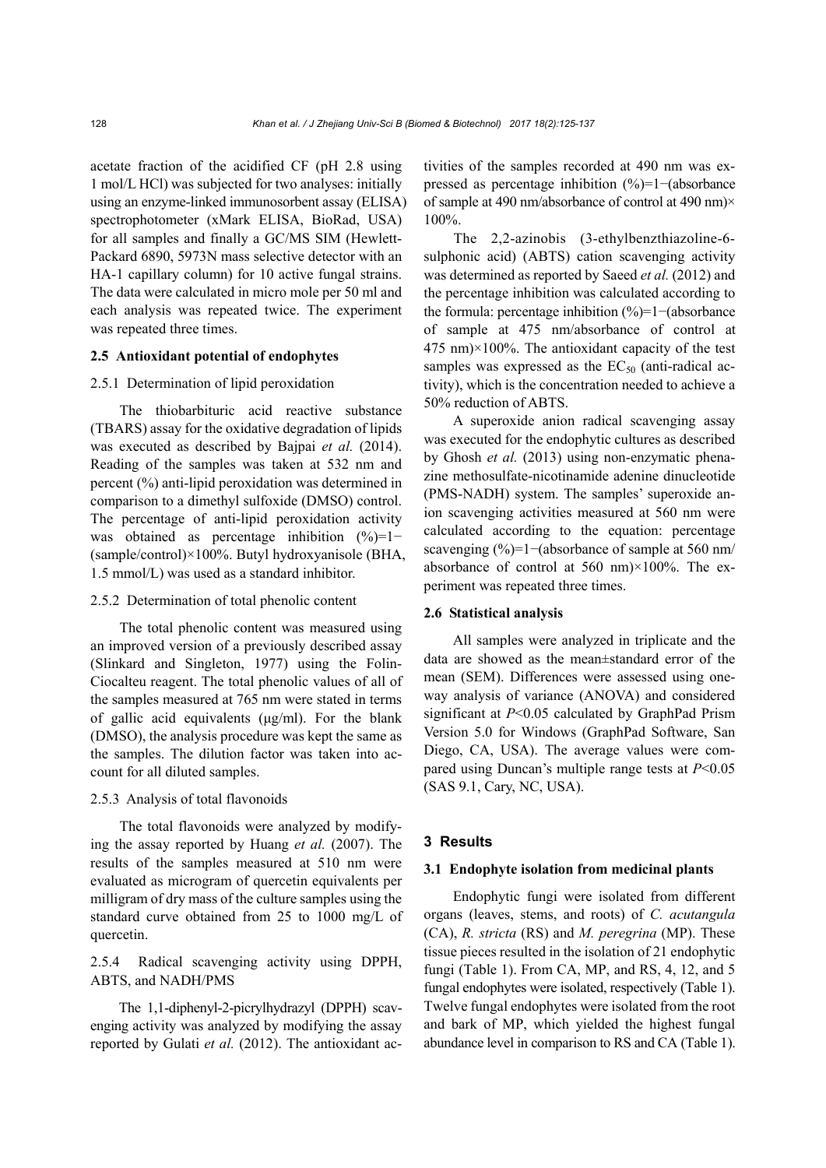acetate fraction of the acidified CF (pH 2.8 using 1 mol/L HCl) was subjected for two analyses: initially using an enzyme-linked immunosorbent assay (ELISA) spectrophotometer (xMark ELISA, BioRad, USA) for all samples and finally a GC/MS SIM (Hewlett-Packard 6890, 5973N mass selective detector with an HA-1 capillary column) for 10 active fungal strains. The data were calculated in micro mole per 50 ml and each analysis was repeated twice. The experiment was repeated three times.

## **2.5 Antioxidant potential of endophytes**

#### 2.5.1 Determination of lipid peroxidation

The thiobarbituric acid reactive substance (TBARS) assay for the oxidative degradation of lipids was executed as described by Bajpai *et al.* (2014). Reading of the samples was taken at 532 nm and percent (%) anti-lipid peroxidation was determined in comparison to a dimethyl sulfoxide (DMSO) control. The percentage of anti-lipid peroxidation activity was obtained as percentage inhibition  $(%)=1$ − (sample/control)×100%. Butyl hydroxyanisole (BHA, 1.5 mmol/L) was used as a standard inhibitor.

#### 2.5.2 Determination of total phenolic content

The total phenolic content was measured using an improved version of a previously described assay (Slinkard and Singleton, 1977) using the Folin-Ciocalteu reagent. The total phenolic values of all of the samples measured at 765 nm were stated in terms of gallic acid equivalents (μg/ml). For the blank (DMSO), the analysis procedure was kept the same as the samples. The dilution factor was taken into account for all diluted samples.

## 2.5.3 Analysis of total flavonoids

The total flavonoids were analyzed by modifying the assay reported by Huang *et al.* (2007). The results of the samples measured at 510 nm were evaluated as microgram of quercetin equivalents per milligram of dry mass of the culture samples using the standard curve obtained from 25 to 1000 mg/L of quercetin.

## 2.5.4 Radical scavenging activity using DPPH, ABTS, and NADH/PMS

The 1,1-diphenyl-2-picrylhydrazyl (DPPH) scavenging activity was analyzed by modifying the assay reported by Gulati *et al.* (2012). The antioxidant activities of the samples recorded at 490 nm was expressed as percentage inhibition (%)=1−(absorbance of sample at 490 nm/absorbance of control at 490 nm)× 100%.

The 2,2-azinobis (3-ethylbenzthiazoline-6 sulphonic acid) (ABTS) cation scavenging activity was determined as reported by Saeed *et al.* (2012) and the percentage inhibition was calculated according to the formula: percentage inhibition (%)=1−(absorbance of sample at 475 nm/absorbance of control at 475 nm $\times$ 100%. The antioxidant capacity of the test samples was expressed as the  $EC_{50}$  (anti-radical activity), which is the concentration needed to achieve a 50% reduction of ABTS.

A superoxide anion radical scavenging assay was executed for the endophytic cultures as described by Ghosh *et al.* (2013) using non-enzymatic phenazine methosulfate-nicotinamide adenine dinucleotide (PMS-NADH) system. The samples' superoxide anion scavenging activities measured at 560 nm were calculated according to the equation: percentage scavenging (%)=1−(absorbance of sample at 560 nm/ absorbance of control at 560 nm)×100%. The experiment was repeated three times.

#### **2.6 Statistical analysis**

All samples were analyzed in triplicate and the data are showed as the mean±standard error of the mean (SEM). Differences were assessed using oneway analysis of variance (ANOVA) and considered significant at *P*<0.05 calculated by GraphPad Prism Version 5.0 for Windows (GraphPad Software, San Diego, CA, USA). The average values were compared using Duncan's multiple range tests at *P*<0.05 (SAS 9.1, Cary, NC, USA).

## **3 Results**

#### **3.1 Endophyte isolation from medicinal plants**

Endophytic fungi were isolated from different organs (leaves, stems, and roots) of *C. acutangula*  (CA), *R. stricta* (RS) and *M. peregrina* (MP). These tissue pieces resulted in the isolation of 21 endophytic fungi (Table 1). From CA, MP, and RS, 4, 12, and 5 fungal endophytes were isolated, respectively (Table 1). Twelve fungal endophytes were isolated from the root and bark of MP, which yielded the highest fungal abundance level in comparison to RS and CA (Table 1).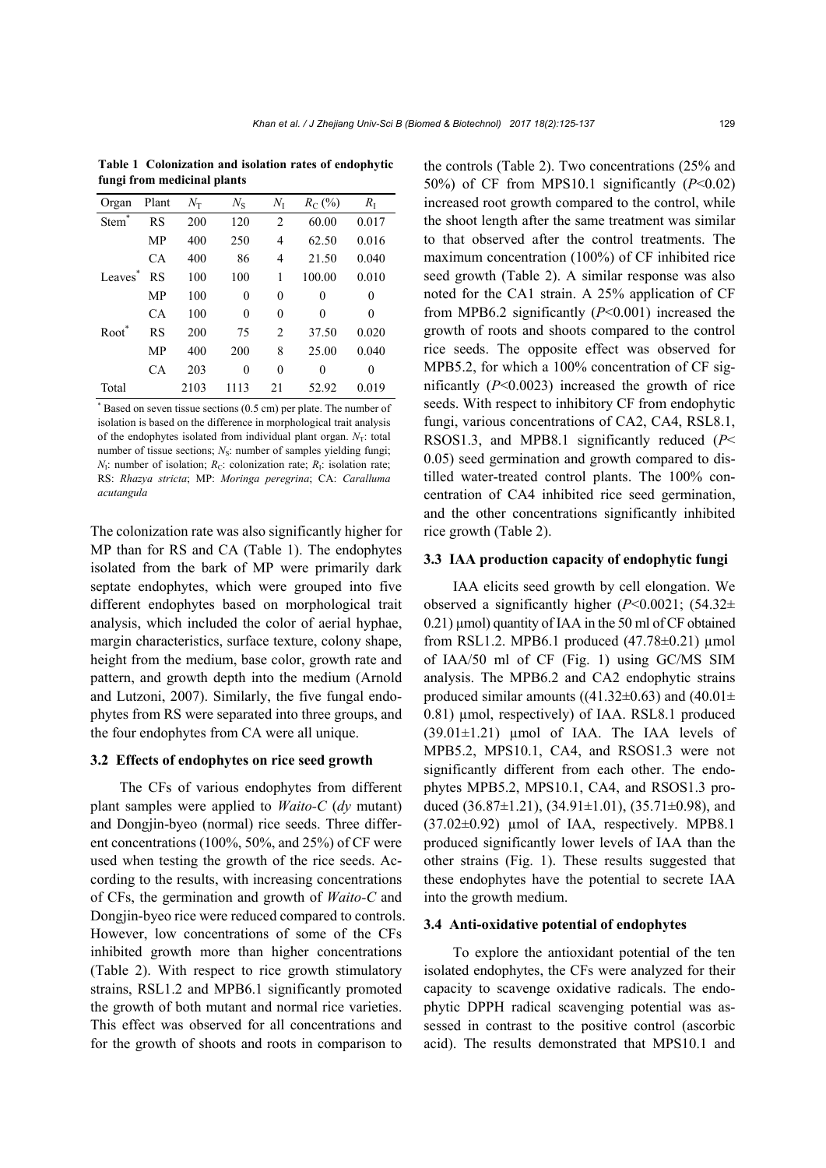| Organ               | Plant     | $N_{\rm T}$ | $N_{\rm S}$ | $N_{\rm I}$ | $R_{\rm C}$ (%) | $R_{\rm I}$ |
|---------------------|-----------|-------------|-------------|-------------|-----------------|-------------|
| Stem                | <b>RS</b> | 200         | 120         | 2           | 60.00           | 0.017       |
|                     | MP        | 400         | 250         | 4           | 62.50           | 0.016       |
|                     | <b>CA</b> | 400         | 86          | 4           | 21.50           | 0.040       |
| Leaves <sup>*</sup> | <b>RS</b> | 100         | 100         | 1           | 100.00          | 0.010       |
|                     | MP        | 100         | 0           | 0           | 0               | 0           |
|                     | <b>CA</b> | 100         | $\theta$    | 0           | $\theta$        | 0           |
| Root                | <b>RS</b> | 200         | 75          | 2           | 37.50           | 0.020       |
|                     | MP        | 400         | 200         | 8           | 25.00           | 0.040       |
|                     | CA        | 203         | $\theta$    | 0           | 0               | 0           |
| Total               |           | 2103        | 1113        | 21          | 52.92           | 0.019       |

**Table 1 Colonization and isolation rates of endophytic fungi from medicinal plants** 

\* Based on seven tissue sections (0.5 cm) per plate. The number of isolation is based on the difference in morphological trait analysis of the endophytes isolated from individual plant organ.  $N_T$ : total number of tissue sections;  $N<sub>S</sub>$ : number of samples yielding fungi;  $N_I$ : number of isolation;  $R_C$ : colonization rate;  $R_I$ : isolation rate; RS: *Rhazya stricta*; MP: *Moringa peregrina*; CA: *Caralluma acutangula*

The colonization rate was also significantly higher for MP than for RS and CA (Table 1). The endophytes isolated from the bark of MP were primarily dark septate endophytes, which were grouped into five different endophytes based on morphological trait analysis, which included the color of aerial hyphae, margin characteristics, surface texture, colony shape, height from the medium, base color, growth rate and pattern, and growth depth into the medium (Arnold and Lutzoni, 2007). Similarly, the five fungal endophytes from RS were separated into three groups, and the four endophytes from CA were all unique.

#### **3.2 Effects of endophytes on rice seed growth**

The CFs of various endophytes from different plant samples were applied to *Waito-C* (*dy* mutant) and Dongjin-byeo (normal) rice seeds. Three different concentrations (100%, 50%, and 25%) of CF were used when testing the growth of the rice seeds. According to the results, with increasing concentrations of CFs, the germination and growth of *Waito-C* and Dongjin-byeo rice were reduced compared to controls. However, low concentrations of some of the CFs inhibited growth more than higher concentrations (Table 2). With respect to rice growth stimulatory strains, RSL1.2 and MPB6.1 significantly promoted the growth of both mutant and normal rice varieties. This effect was observed for all concentrations and for the growth of shoots and roots in comparison to

the controls (Table 2). Two concentrations (25% and 50%) of CF from MPS10.1 significantly (*P*<0.02) increased root growth compared to the control, while the shoot length after the same treatment was similar to that observed after the control treatments. The maximum concentration (100%) of CF inhibited rice seed growth (Table 2). A similar response was also noted for the CA1 strain. A 25% application of CF from MPB6.2 significantly (*P*<0.001) increased the growth of roots and shoots compared to the control rice seeds. The opposite effect was observed for MPB5.2, for which a 100% concentration of CF significantly (*P*<0.0023) increased the growth of rice seeds. With respect to inhibitory CF from endophytic fungi, various concentrations of CA2, CA4, RSL8.1, RSOS1.3, and MPB8.1 significantly reduced (*P*< 0.05) seed germination and growth compared to distilled water-treated control plants. The 100% concentration of CA4 inhibited rice seed germination, and the other concentrations significantly inhibited rice growth (Table 2).

#### **3.3 IAA production capacity of endophytic fungi**

IAA elicits seed growth by cell elongation. We observed a significantly higher (*P*<0.0021; (54.32± 0.21) µmol) quantity of IAA in the 50 ml of CF obtained from RSL1.2. MPB6.1 produced  $(47.78\pm0.21)$  µmol of IAA/50 ml of CF (Fig. 1) using GC/MS SIM analysis. The MPB6.2 and CA2 endophytic strains produced similar amounts ((41.32 $\pm$ 0.63) and (40.01 $\pm$ 0.81) µmol, respectively) of IAA. RSL8.1 produced  $(39.01\pm1.21)$  µmol of IAA. The IAA levels of MPB5.2, MPS10.1, CA4, and RSOS1.3 were not significantly different from each other. The endophytes MPB5.2, MPS10.1, CA4, and RSOS1.3 produced  $(36.87\pm1.21)$ ,  $(34.91\pm1.01)$ ,  $(35.71\pm0.98)$ , and  $(37.02\pm0.92)$  µmol of IAA, respectively. MPB8.1 produced significantly lower levels of IAA than the other strains (Fig. 1). These results suggested that these endophytes have the potential to secrete IAA into the growth medium.

#### **3.4 Anti-oxidative potential of endophytes**

To explore the antioxidant potential of the ten isolated endophytes, the CFs were analyzed for their capacity to scavenge oxidative radicals. The endophytic DPPH radical scavenging potential was assessed in contrast to the positive control (ascorbic acid). The results demonstrated that MPS10.1 and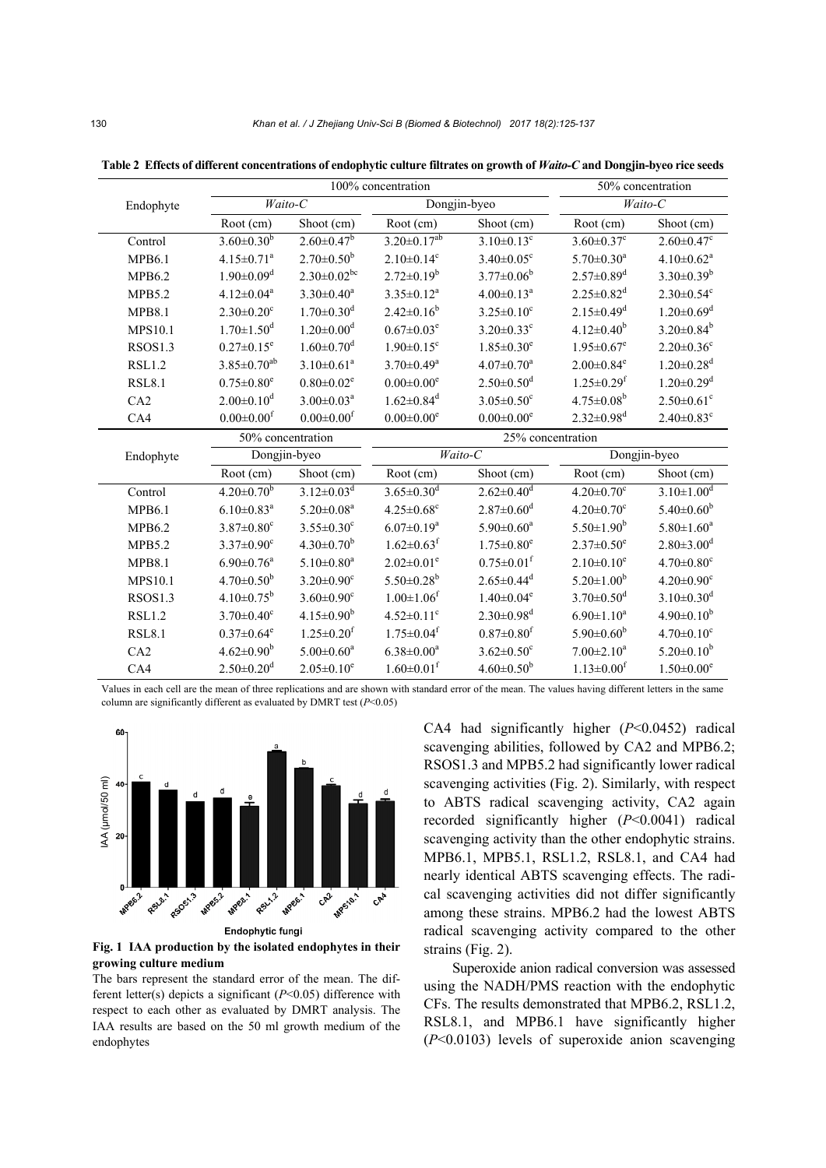|                |                               | 100% concentration           | 50% concentration            |                              |                              |                              |
|----------------|-------------------------------|------------------------------|------------------------------|------------------------------|------------------------------|------------------------------|
| Endophyte      | $Waito-C$                     |                              |                              | Dongjin-byeo                 | $Waito-C$                    |                              |
|                | Root (cm)                     | $\text{Show (cm)}$           | Root (cm)                    | Shoot (cm)                   | Root (cm)                    | Shoot (cm)                   |
| Control        | $3.60 \pm 0.30^b$             | $2.60 \pm 0.47^b$            | $3.20 \pm 0.17^{ab}$         | $3.10 \pm 0.13$ <sup>c</sup> | $3.60 \pm 0.37$ <sup>c</sup> | $2.60 \pm 0.47$ <sup>c</sup> |
| <b>MPB6.1</b>  | $4.15 \pm 0.71$ <sup>a</sup>  | $2.70 \pm 0.50^b$            | $2.10 \pm 0.14$ <sup>c</sup> | $3.40 \pm 0.05$ <sup>c</sup> | $5.70 \pm 0.30$ <sup>a</sup> | $4.10 \pm 0.62^a$            |
| <b>MPB6.2</b>  | $1.90 \pm 0.09$ <sup>d</sup>  | $2.30 \pm 0.02$ bc           | $2.72 \pm 0.19^b$            | $3.77 \pm 0.06^b$            | $2.57 \pm 0.89$ <sup>d</sup> | $3.30 \pm 0.39^b$            |
| MPB5.2         | $4.12 \pm 0.04^a$             | $3.30 \pm 0.40^a$            | $3.35 \pm 0.12^a$            | $4.00 \pm 0.13$ <sup>a</sup> | $2.25 \pm 0.82$ <sup>d</sup> | $2.30 \pm 0.54$ <sup>c</sup> |
| <b>MPB8.1</b>  | $2.30 \pm 0.20$ <sup>c</sup>  | $1.70 \pm 0.30$ <sup>d</sup> | $2.42 \pm 0.16^b$            | $3.25 \pm 0.10$ <sup>c</sup> | $2.15 \pm 0.49$ <sup>d</sup> | $1.20 \pm 0.69$ <sup>d</sup> |
| <b>MPS10.1</b> | $1.70 \pm 1.50$ <sup>d</sup>  | $1.20 \pm 0.00$ <sup>d</sup> | $0.67 \pm 0.03^e$            | $3.20 \pm 0.33$ <sup>c</sup> | $4.12 \pm 0.40^b$            | $3.20 \pm 0.84^b$            |
| RSOS1.3        | $0.27 \pm 0.15$ <sup>e</sup>  | $1.60 \pm 0.70$ <sup>d</sup> | $1.90 \pm 0.15$ <sup>c</sup> | $1.85 \pm 0.30^e$            | $1.95 \pm 0.67$ <sup>e</sup> | $2.20 \pm 0.36$ <sup>c</sup> |
| <b>RSL1.2</b>  | $3.85 \pm 0.70$ <sup>ab</sup> | $3.10 \pm 0.61$ <sup>a</sup> | $3.70 \pm 0.49^a$            | $4.07 \pm 0.70$ <sup>a</sup> | $2.00 \pm 0.84$ <sup>e</sup> | $1.20 \pm 0.28$ <sup>d</sup> |
| <b>RSL8.1</b>  | $0.75 \pm 0.80^e$             | $0.80 \pm 0.02^e$            | $0.00 \pm 0.00^e$            | $2.50 \pm 0.50$ <sup>d</sup> | $1.25 \pm 0.29$ <sup>f</sup> | $1.20 \pm 0.29$ <sup>d</sup> |
| CA2            | $2.00 \pm 0.10$ <sup>d</sup>  | $3.00{\pm}0.03^{\mathrm{a}}$ | $1.62 \pm 0.84$ <sup>d</sup> | $3.05 \pm 0.50^{\circ}$      | $4.75 \pm 0.08^b$            | $2.50 \pm 0.61$ °            |
| CA4            | $0.00 \pm 0.00$ <sup>f</sup>  | $0.00 \pm 0.00$ <sup>f</sup> | $0.00 \pm 0.00^e$            | $0.00 \pm 0.00^e$            | $2.32 \pm 0.98$ <sup>d</sup> | $2.40 \pm 0.83$ <sup>c</sup> |
| Endophyte      | 50% concentration             |                              | 25% concentration            |                              |                              |                              |
|                | Dongjin-byeo                  |                              | Waito-C                      |                              | Dongjin-byeo                 |                              |
|                | Root (cm)                     | Shoot (cm)                   | Root (cm)                    | Shoot (cm)                   | Root (cm)                    | Shoot (cm)                   |
| Control        | $4.20 \pm 0.70^b$             | $3.12 \pm 0.03$ <sup>d</sup> | $3.65 \pm 0.30$ <sup>d</sup> | $2.62 \pm 0.40^{\rm d}$      | $4.20 \pm 0.70$ <sup>c</sup> | $3.10 \pm 1.00$ <sup>d</sup> |
| MPB6.1         | $6.10 \pm 0.83$ <sup>a</sup>  | $5.20 \pm 0.08^a$            | $4.25 \pm 0.68$ <sup>c</sup> | $2.87 \pm 0.60$ <sup>d</sup> | $4.20 \pm 0.70$ <sup>c</sup> | $5.40 \pm 0.60^{\circ}$      |
| <b>MPB6.2</b>  | $3.87 \pm 0.80$ <sup>c</sup>  | $3.55 \pm 0.30$ <sup>c</sup> | $6.07 \pm 0.19^a$            | $5.90 \pm 0.60^a$            | $5.50 \pm 1.90^b$            | $5.80 \pm 1.60^a$            |
| MPB5.2         | $3.37 \pm 0.90^{\circ}$       | $4.30 \pm 0.70^b$            | $1.62 \pm 0.63$ <sup>f</sup> | $1.75 \pm 0.80^e$            | $2.37 \pm 0.50^e$            | $2.80 \pm 3.00$ <sup>d</sup> |
| <b>MPB8.1</b>  | $6.90 \pm 0.76^a$             | $5.10 \pm 0.80$ <sup>a</sup> | $2.02 \pm 0.01$ <sup>e</sup> | $0.75 \pm 0.01$ <sup>f</sup> | $2.10 \pm 0.10^e$            | $4.70 \pm 0.80$ <sup>c</sup> |
| <b>MPS10.1</b> | $4.70 \pm 0.50^b$             | $3.20 \pm 0.90$ <sup>c</sup> | $5.50 \pm 0.28$ <sup>b</sup> | $2.65 \pm 0.44$ <sup>d</sup> | $5.20 \pm 1.00^b$            | $4.20 \pm 0.90$ <sup>c</sup> |
| RSOS1.3        | $4.10 \pm 0.75^b$             | $3.60 \pm 0.90$ <sup>c</sup> | $1.00 \pm 1.06$ <sup>f</sup> | $1.40 \pm 0.04$ <sup>e</sup> | $3.70 \pm 0.50$ <sup>d</sup> | $3.10 \pm 0.30$ <sup>d</sup> |
| <b>RSL1.2</b>  | $3.70 \pm 0.40$ <sup>c</sup>  | $4.15 \pm 0.90^b$            | $4.52 \pm 0.11$ <sup>c</sup> | $2.30 \pm 0.98$ <sup>d</sup> | $6.90 \pm 1.10^a$            | $4.90 \pm 0.10^b$            |
| <b>RSL8.1</b>  | $0.37 \pm 0.64^e$             | $1.25 \pm 0.20^t$            | $1.75 \pm 0.04^{\mathrm{f}}$ | $0.87 \pm 0.80$ <sup>f</sup> | $5.90 \pm 0.60^{\circ}$      | $4.70 \pm 0.10$ <sup>c</sup> |
| CA2            | $4.62 \pm 0.90^b$             | $5.00 \pm 0.60^a$            | $6.38 \pm 0.00^a$            | $3.62 \pm 0.50$ <sup>c</sup> | $7.00 \pm 2.10^a$            | $5.20 \pm 0.10^b$            |
| CA4            | $2.50 \pm 0.20$ <sup>d</sup>  | $2.05 \pm 0.10^e$            | $1.60 \pm 0.01$ <sup>f</sup> | $4.60 \pm 0.50^b$            | $1.13 \pm 0.00^{\mathrm{f}}$ | $1.50 \pm 0.00^e$            |

Table 2 Effects of different concentrations of endophytic culture filtrates on growth of *Waito-C* and Dongjin-byeo rice seeds

Values in each cell are the mean of three replications and are shown with standard error of the mean. The values having different letters in the same column are significantly different as evaluated by DMRT test (*P*<0.05)



**Fig. 1 IAA production by the isolated endophytes in their growing culture medium** 

The bars represent the standard error of the mean. The different letter(s) depicts a significant (*P*<0.05) difference with respect to each other as evaluated by DMRT analysis. The IAA results are based on the 50 ml growth medium of the CA4 had significantly higher (*P*<0.0452) radical scavenging abilities, followed by CA2 and MPB6.2; RSOS1.3 and MPB5.2 had significantly lower radical scavenging activities (Fig. 2). Similarly, with respect to ABTS radical scavenging activity, CA2 again recorded significantly higher (*P*<0.0041) radical scavenging activity than the other endophytic strains. MPB6.1, MPB5.1, RSL1.2, RSL8.1, and CA4 had nearly identical ABTS scavenging effects. The radical scavenging activities did not differ significantly among these strains. MPB6.2 had the lowest ABTS radical scavenging activity compared to the other strains (Fig. 2).

Superoxide anion radical conversion was assessed using the NADH/PMS reaction with the endophytic CFs. The results demonstrated that MPB6.2, RSL1.2, RSL8.1, and MPB6.1 have significantly higher (*P*<0.0103) levels of superoxide anion scavenging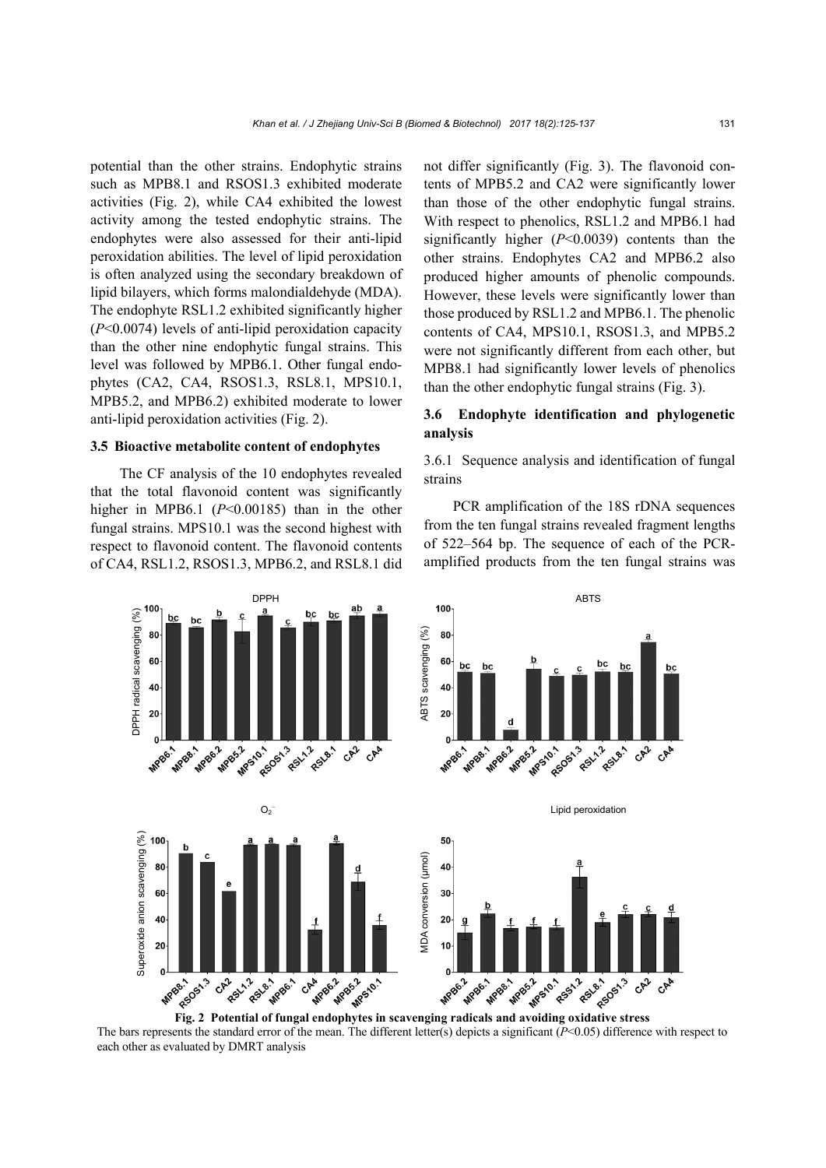potential than the other strains. Endophytic strains such as MPB8.1 and RSOS1.3 exhibited moderate activities (Fig. 2), while CA4 exhibited the lowest activity among the tested endophytic strains. The endophytes were also assessed for their anti-lipid peroxidation abilities. The level of lipid peroxidation is often analyzed using the secondary breakdown of lipid bilayers, which forms malondialdehyde (MDA). The endophyte RSL1.2 exhibited significantly higher (*P*<0.0074) levels of anti-lipid peroxidation capacity than the other nine endophytic fungal strains. This level was followed by MPB6.1. Other fungal endophytes (CA2, CA4, RSOS1.3, RSL8.1, MPS10.1, MPB5.2, and MPB6.2) exhibited moderate to lower anti-lipid peroxidation activities (Fig. 2).

#### **3.5 Bioactive metabolite content of endophytes**

The CF analysis of the 10 endophytes revealed that the total flavonoid content was significantly higher in MPB6.1 ( $P<0.00185$ ) than in the other fungal strains. MPS10.1 was the second highest with respect to flavonoid content. The flavonoid contents of CA4, RSL1.2, RSOS1.3, MPB6.2, and RSL8.1 did not differ significantly (Fig. 3). The flavonoid contents of MPB5.2 and CA2 were significantly lower than those of the other endophytic fungal strains. With respect to phenolics, RSL1.2 and MPB6.1 had significantly higher (*P*<0.0039) contents than the other strains. Endophytes CA2 and MPB6.2 also produced higher amounts of phenolic compounds. However, these levels were significantly lower than those produced by RSL1.2 and MPB6.1. The phenolic contents of CA4, MPS10.1, RSOS1.3, and MPB5.2 were not significantly different from each other, but MPB8.1 had significantly lower levels of phenolics than the other endophytic fungal strains (Fig. 3).

## **3.6 Endophyte identification and phylogenetic analysis**

## 3.6.1 Sequence analysis and identification of fungal strains

PCR amplification of the 18S rDNA sequences from the ten fungal strains revealed fragment lengths of 522–564 bp. The sequence of each of the PCRamplified products from the ten fungal strains was



The bars represents the standard error of the mean. The different letter(s) depicts a significant (*P*<0.05) difference with respect to each other as evaluated by DMRT analysis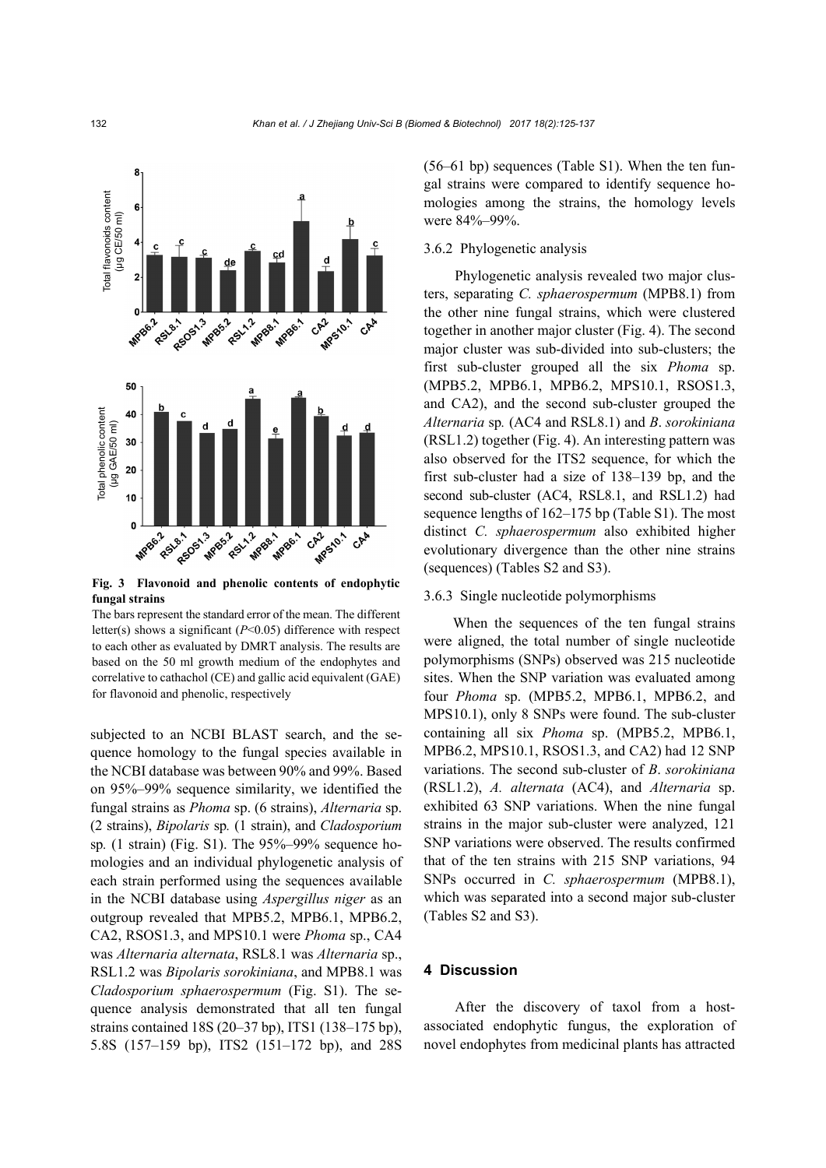

**Fig. 3 Flavonoid and phenolic contents of endophytic fungal strains** 

The bars represent the standard error of the mean. The different letter(s) shows a significant (*P*<0.05) difference with respect to each other as evaluated by DMRT analysis. The results are based on the 50 ml growth medium of the endophytes and correlative to cathachol (CE) and gallic acid equivalent (GAE)

subjected to an NCBI BLAST search, and the sequence homology to the fungal species available in the NCBI database was between 90% and 99%. Based on 95%–99% sequence similarity, we identified the fungal strains as *Phoma* sp. (6 strains), *Alternaria* sp. (2 strains), *Bipolaris* sp*.* (1 strain), and *Cladosporium*  sp*.* (1 strain) (Fig. S1). The 95%–99% sequence homologies and an individual phylogenetic analysis of each strain performed using the sequences available in the NCBI database using *Aspergillus niger* as an outgroup revealed that MPB5.2, MPB6.1, MPB6.2, CA2, RSOS1.3, and MPS10.1 were *Phoma* sp., CA4 was *Alternaria alternata*, RSL8.1 was *Alternaria* sp., RSL1.2 was *Bipolaris sorokiniana*, and MPB8.1 was *Cladosporium sphaerospermum* (Fig. S1). The sequence analysis demonstrated that all ten fungal strains contained 18S (20–37 bp), ITS1 (138–175 bp), 5.8S (157–159 bp), ITS2 (151–172 bp), and 28S

(56–61 bp) sequences (Table S1). When the ten fungal strains were compared to identify sequence homologies among the strains, the homology levels were 84%–99%.

#### 3.6.2 Phylogenetic analysis

Phylogenetic analysis revealed two major clusters, separating *C. sphaerospermum* (MPB8.1) from the other nine fungal strains, which were clustered together in another major cluster (Fig. 4). The second major cluster was sub-divided into sub-clusters; the first sub-cluster grouped all the six *Phoma* sp. (MPB5.2, MPB6.1, MPB6.2, MPS10.1, RSOS1.3, and CA2), and the second sub-cluster grouped the *Alternaria* sp*.* (AC4 and RSL8.1) and *B*. *sorokiniana*  (RSL1.2) together (Fig. 4). An interesting pattern was also observed for the ITS2 sequence, for which the first sub-cluster had a size of 138–139 bp, and the second sub-cluster (AC4, RSL8.1, and RSL1.2) had sequence lengths of 162–175 bp (Table S1). The most distinct *C. sphaerospermum* also exhibited higher evolutionary divergence than the other nine strains (sequences) (Tables S2 and S3).

#### 3.6.3 Single nucleotide polymorphisms

When the sequences of the ten fungal strains were aligned, the total number of single nucleotide polymorphisms (SNPs) observed was 215 nucleotide sites. When the SNP variation was evaluated among four *Phoma* sp. (MPB5.2, MPB6.1, MPB6.2, and MPS10.1), only 8 SNPs were found. The sub-cluster containing all six *Phoma* sp. (MPB5.2, MPB6.1, MPB6.2, MPS10.1, RSOS1.3, and CA2) had 12 SNP variations. The second sub-cluster of *B*. *sorokiniana* (RSL1.2), *A. alternata* (AC4), and *Alternaria* sp. exhibited 63 SNP variations. When the nine fungal strains in the major sub-cluster were analyzed, 121 SNP variations were observed. The results confirmed that of the ten strains with 215 SNP variations, 94 SNPs occurred in *C. sphaerospermum* (MPB8.1), which was separated into a second major sub-cluster (Tables S2 and S3).

## **4 Discussion**

After the discovery of taxol from a hostassociated endophytic fungus, the exploration of novel endophytes from medicinal plants has attracted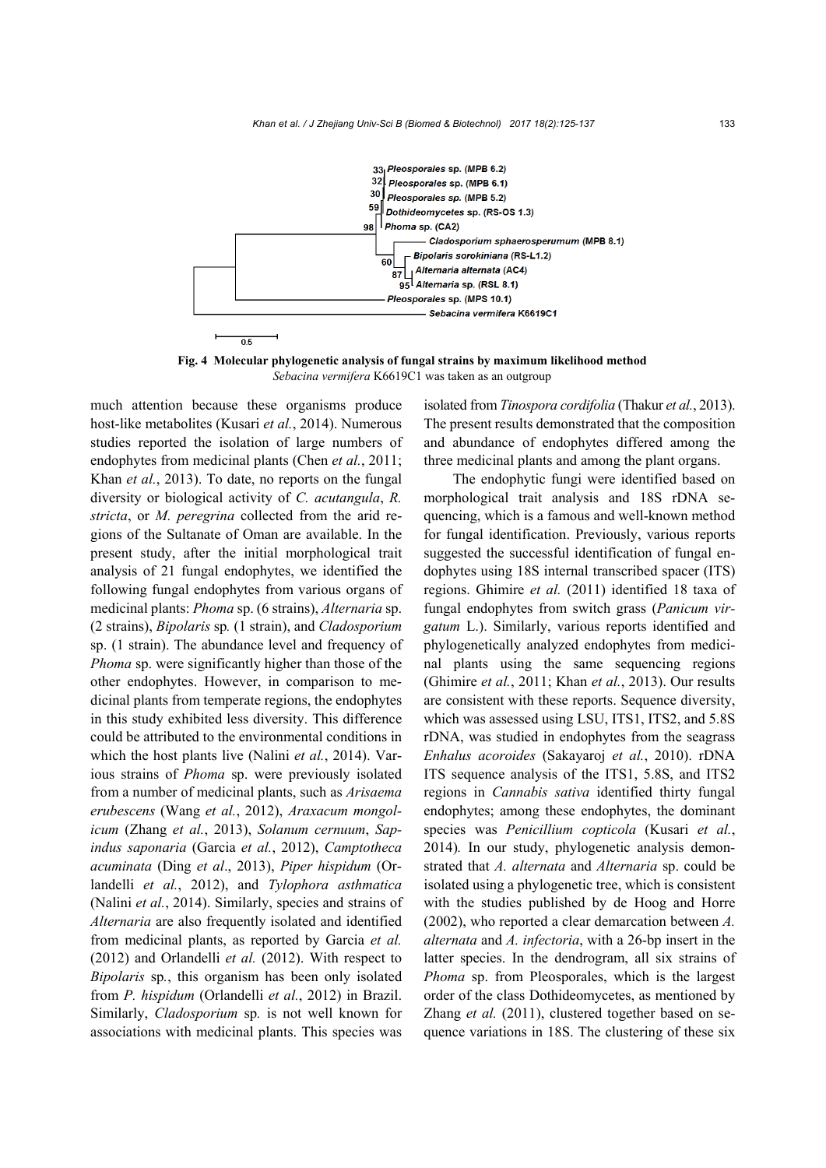

**Fig. 4 Molecular phylogenetic analysis of fungal strains by maximum likelihood method**  *Sebacina vermifera* K6619C1 was taken as an outgroup

much attention because these organisms produce host-like metabolites (Kusari *et al.*, 2014). Numerous studies reported the isolation of large numbers of endophytes from medicinal plants (Chen *et al.*, 2011; Khan *et al.*, 2013). To date, no reports on the fungal diversity or biological activity of *C. acutangula*, *R. stricta*, or *M. peregrina* collected from the arid regions of the Sultanate of Oman are available. In the present study, after the initial morphological trait analysis of 21 fungal endophytes, we identified the following fungal endophytes from various organs of medicinal plants: *Phoma* sp. (6 strains), *Alternaria* sp. (2 strains), *Bipolaris* sp*.* (1 strain), and *Cladosporium*  sp. (1 strain). The abundance level and frequency of *Phoma* sp. were significantly higher than those of the other endophytes. However, in comparison to medicinal plants from temperate regions, the endophytes in this study exhibited less diversity. This difference could be attributed to the environmental conditions in which the host plants live (Nalini *et al.*, 2014). Various strains of *Phoma* sp. were previously isolated from a number of medicinal plants, such as *Arisaema erubescens* (Wang *et al.*, 2012), *Araxacum mongolicum* (Zhang *et al.*, 2013), *Solanum cernuum*, *Sapindus saponaria* (Garcia *et al.*, 2012), *Camptotheca acuminata* (Ding *et al*., 2013), *Piper hispidum* (Orlandelli *et al.*, 2012), and *Tylophora asthmatica* (Nalini *et al.*, 2014). Similarly, species and strains of *Alternaria* are also frequently isolated and identified from medicinal plants, as reported by Garcia *et al.* (2012) and Orlandelli *et al.* (2012). With respect to *Bipolaris* sp*.*, this organism has been only isolated from *P. hispidum* (Orlandelli *et al.*, 2012) in Brazil. Similarly, *Cladosporium* sp*.* is not well known for associations with medicinal plants. This species was

isolated from *Tinospora cordifolia* (Thakur *et al.*, 2013). The present results demonstrated that the composition and abundance of endophytes differed among the three medicinal plants and among the plant organs.

The endophytic fungi were identified based on morphological trait analysis and 18S rDNA sequencing, which is a famous and well-known method for fungal identification. Previously, various reports suggested the successful identification of fungal endophytes using 18S internal transcribed spacer (ITS) regions. Ghimire *et al.* (2011) identified 18 taxa of fungal endophytes from switch grass (*Panicum virgatum* L.). Similarly, various reports identified and phylogenetically analyzed endophytes from medicinal plants using the same sequencing regions (Ghimire *et al.*, 2011; Khan *et al.*, 2013). Our results are consistent with these reports. Sequence diversity, which was assessed using LSU, ITS1, ITS2, and 5.8S rDNA, was studied in endophytes from the seagrass *Enhalus acoroides* (Sakayaroj *et al.*, 2010). rDNA ITS sequence analysis of the ITS1, 5.8S, and ITS2 regions in *Cannabis sativa* identified thirty fungal endophytes; among these endophytes, the dominant species was *Penicillium copticola* (Kusari *et al.*, 2014)*.* In our study, phylogenetic analysis demonstrated that *A. alternata* and *Alternaria* sp. could be isolated using a phylogenetic tree, which is consistent with the studies published by de Hoog and Horre (2002), who reported a clear demarcation between *A. alternata* and *A. infectoria*, with a 26-bp insert in the latter species. In the dendrogram, all six strains of *Phoma* sp. from Pleosporales, which is the largest order of the class Dothideomycetes, as mentioned by Zhang *et al.* (2011), clustered together based on sequence variations in 18S. The clustering of these six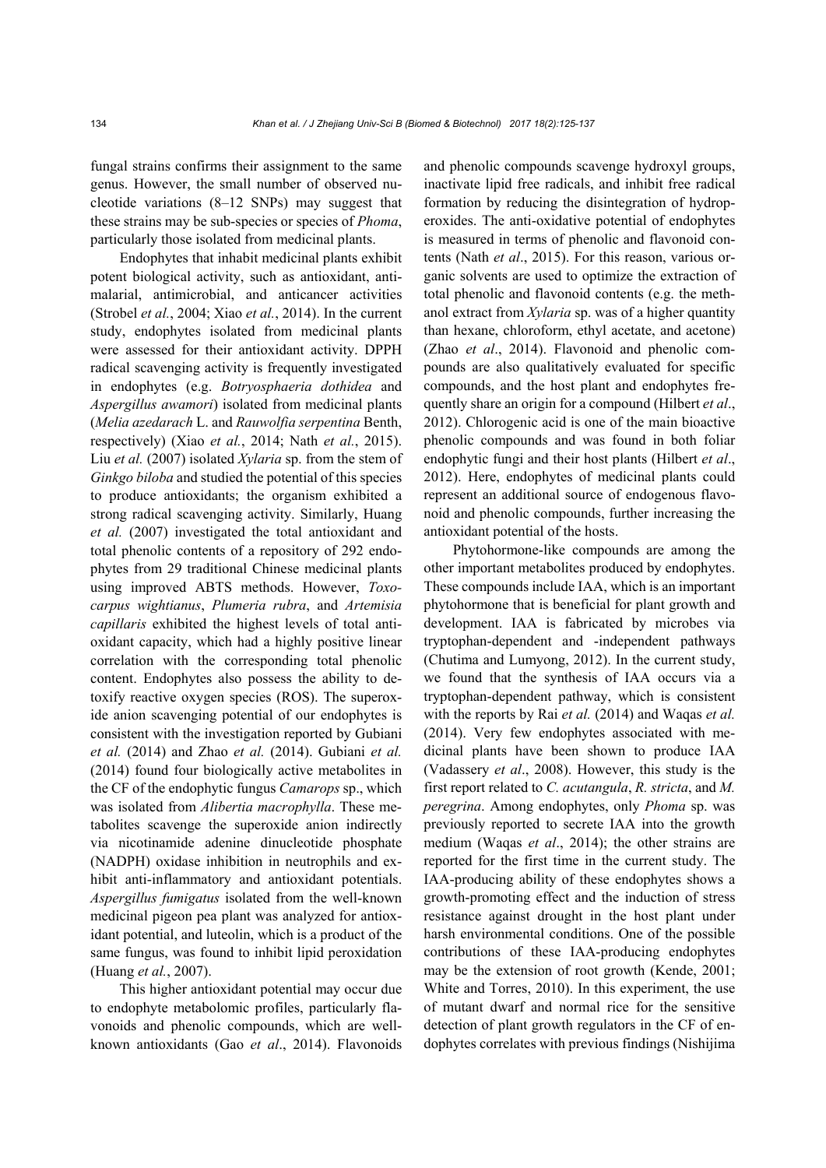fungal strains confirms their assignment to the same genus. However, the small number of observed nucleotide variations (8–12 SNPs) may suggest that these strains may be sub-species or species of *Phoma*, particularly those isolated from medicinal plants.

Endophytes that inhabit medicinal plants exhibit potent biological activity, such as antioxidant, antimalarial, antimicrobial, and anticancer activities (Strobel *et al.*, 2004; Xiao *et al.*, 2014). In the current study, endophytes isolated from medicinal plants were assessed for their antioxidant activity. DPPH radical scavenging activity is frequently investigated in endophytes (e.g. *Botryosphaeria dothidea* and *Aspergillus awamori*) isolated from medicinal plants (*Melia azedarach* L. and *Rauwolfia serpentina* Benth, respectively) (Xiao *et al.*, 2014; Nath *et al.*, 2015). Liu *et al.* (2007) isolated *Xylaria* sp. from the stem of *Ginkgo biloba* and studied the potential of this species to produce antioxidants; the organism exhibited a strong radical scavenging activity. Similarly, Huang *et al.* (2007) investigated the total antioxidant and total phenolic contents of a repository of 292 endophytes from 29 traditional Chinese medicinal plants using improved ABTS methods. However, *Toxocarpus wightianus*, *Plumeria rubra*, and *Artemisia capillaris* exhibited the highest levels of total antioxidant capacity, which had a highly positive linear correlation with the corresponding total phenolic content. Endophytes also possess the ability to detoxify reactive oxygen species (ROS). The superoxide anion scavenging potential of our endophytes is consistent with the investigation reported by Gubiani *et al.* (2014) and Zhao *et al.* (2014). Gubiani *et al.* (2014) found four biologically active metabolites in the CF of the endophytic fungus *Camarops* sp., which was isolated from *Alibertia macrophylla*. These metabolites scavenge the superoxide anion indirectly via nicotinamide adenine dinucleotide phosphate (NADPH) oxidase inhibition in neutrophils and exhibit anti-inflammatory and antioxidant potentials. *Aspergillus fumigatus* isolated from the well-known medicinal pigeon pea plant was analyzed for antioxidant potential, and luteolin, which is a product of the same fungus, was found to inhibit lipid peroxidation (Huang *et al.*, 2007).

This higher antioxidant potential may occur due to endophyte metabolomic profiles, particularly flavonoids and phenolic compounds, which are wellknown antioxidants (Gao *et al*., 2014). Flavonoids and phenolic compounds scavenge hydroxyl groups, inactivate lipid free radicals, and inhibit free radical formation by reducing the disintegration of hydroperoxides. The anti-oxidative potential of endophytes is measured in terms of phenolic and flavonoid contents (Nath *et al*., 2015). For this reason, various organic solvents are used to optimize the extraction of total phenolic and flavonoid contents (e.g. the methanol extract from *Xylaria* sp. was of a higher quantity than hexane, chloroform, ethyl acetate, and acetone) (Zhao *et al*., 2014). Flavonoid and phenolic compounds are also qualitatively evaluated for specific compounds, and the host plant and endophytes frequently share an origin for a compound (Hilbert *et al*., 2012). Chlorogenic acid is one of the main bioactive phenolic compounds and was found in both foliar endophytic fungi and their host plants (Hilbert *et al*., 2012). Here, endophytes of medicinal plants could represent an additional source of endogenous flavonoid and phenolic compounds, further increasing the antioxidant potential of the hosts.

Phytohormone-like compounds are among the other important metabolites produced by endophytes. These compounds include IAA, which is an important phytohormone that is beneficial for plant growth and development. IAA is fabricated by microbes via tryptophan-dependent and -independent pathways (Chutima and Lumyong, 2012). In the current study, we found that the synthesis of IAA occurs via a tryptophan-dependent pathway, which is consistent with the reports by Rai *et al.* (2014) and Waqas *et al.* (2014). Very few endophytes associated with medicinal plants have been shown to produce IAA (Vadassery *et al*., 2008). However, this study is the first report related to *C. acutangula*, *R. stricta*, and *M. peregrina*. Among endophytes, only *Phoma* sp. was previously reported to secrete IAA into the growth medium (Waqas *et al*., 2014); the other strains are reported for the first time in the current study. The IAA-producing ability of these endophytes shows a growth-promoting effect and the induction of stress resistance against drought in the host plant under harsh environmental conditions. One of the possible contributions of these IAA-producing endophytes may be the extension of root growth (Kende, 2001; White and Torres, 2010). In this experiment, the use of mutant dwarf and normal rice for the sensitive detection of plant growth regulators in the CF of endophytes correlates with previous findings (Nishijima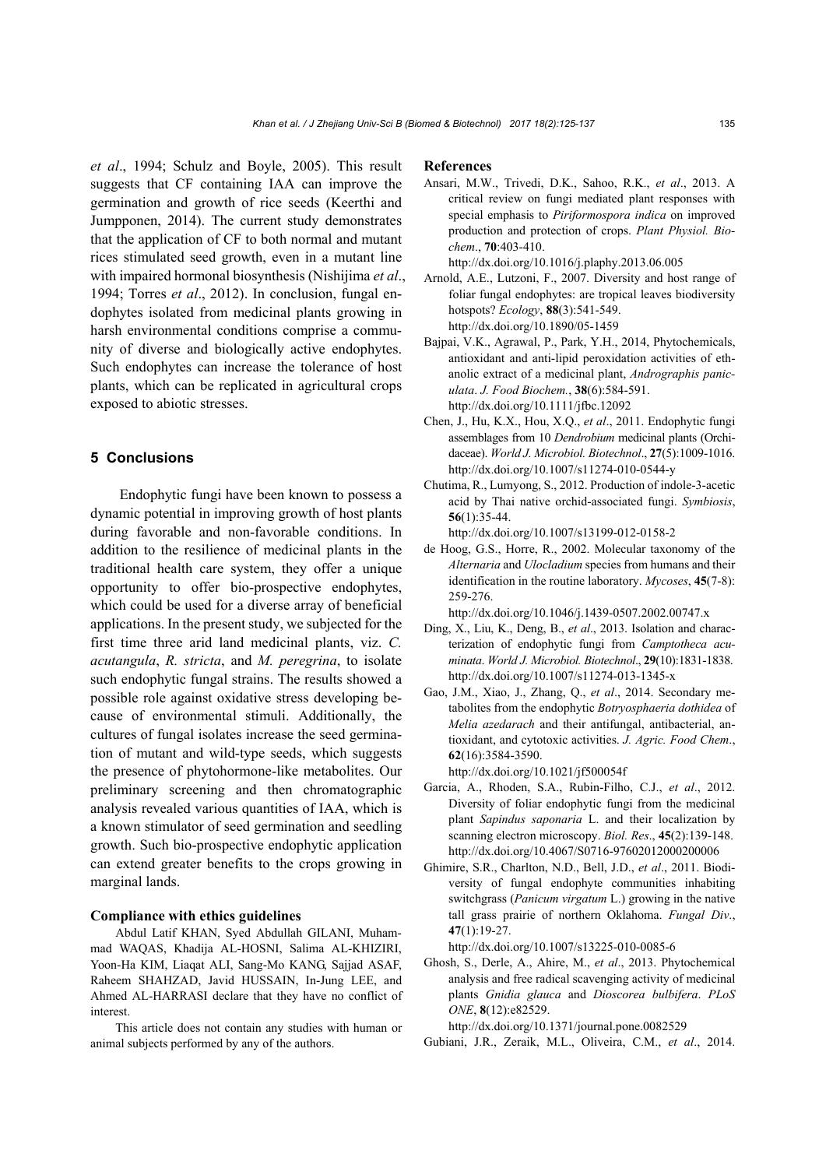*et al*., 1994; Schulz and Boyle, 2005). This result suggests that CF containing IAA can improve the germination and growth of rice seeds (Keerthi and Jumpponen, 2014). The current study demonstrates that the application of CF to both normal and mutant rices stimulated seed growth, even in a mutant line with impaired hormonal biosynthesis (Nishijima *et al*., 1994; Torres *et al*., 2012). In conclusion, fungal endophytes isolated from medicinal plants growing in harsh environmental conditions comprise a community of diverse and biologically active endophytes. Such endophytes can increase the tolerance of host plants, which can be replicated in agricultural crops exposed to abiotic stresses.

## **5 Conclusions**

Endophytic fungi have been known to possess a dynamic potential in improving growth of host plants during favorable and non-favorable conditions. In addition to the resilience of medicinal plants in the traditional health care system, they offer a unique opportunity to offer bio-prospective endophytes, which could be used for a diverse array of beneficial applications. In the present study, we subjected for the first time three arid land medicinal plants, viz. *C. acutangula*, *R. stricta*, and *M. peregrina*, to isolate such endophytic fungal strains. The results showed a possible role against oxidative stress developing because of environmental stimuli. Additionally, the cultures of fungal isolates increase the seed germination of mutant and wild-type seeds, which suggests the presence of phytohormone-like metabolites. Our preliminary screening and then chromatographic analysis revealed various quantities of IAA, which is a known stimulator of seed germination and seedling growth. Such bio-prospective endophytic application can extend greater benefits to the crops growing in marginal lands.

#### **Compliance with ethics guidelines**

Abdul Latif KHAN, Syed Abdullah GILANI, Muhammad WAQAS, Khadija AL-HOSNI, Salima AL-KHIZIRI, Yoon-Ha KIM, Liaqat ALI, Sang-Mo KANG, Sajjad ASAF, Raheem SHAHZAD, Javid HUSSAIN, In-Jung LEE, and Ahmed AL-HARRASI declare that they have no conflict of interest.

This article does not contain any studies with human or animal subjects performed by any of the authors.

#### **References**

Ansari, M.W., Trivedi, D.K., Sahoo, R.K., *et al*., 2013. A critical review on fungi mediated plant responses with special emphasis to *Piriformospora indica* on improved production and protection of crops. *Plant Physiol. Biochem*., **70**:403-410.

http://dx.doi.org/10.1016/j.plaphy.2013.06.005

- Arnold, A.E., Lutzoni, F., 2007. Diversity and host range of foliar fungal endophytes: are tropical leaves biodiversity hotspots? *Ecology*, **88**(3):541-549. http://dx.doi.org/10.1890/05-1459
- Bajpai, V.K., Agrawal, P., Park, Y.H., 2014, Phytochemicals, antioxidant and anti-lipid peroxidation activities of ethanolic extract of a medicinal plant, *Andrographis paniculata*. *J. Food Biochem.*, **38**(6):584-591. http://dx.doi.org/10.1111/jfbc.12092
- Chen, J., Hu, K.X., Hou, X.Q., *et al*., 2011. Endophytic fungi assemblages from 10 *Dendrobium* medicinal plants (Orchidaceae). *World J. Microbiol. Biotechnol*., **27**(5):1009-1016. http://dx.doi.org/10.1007/s11274-010-0544-y
- Chutima, R., Lumyong, S., 2012. Production of indole-3-acetic acid by Thai native orchid-associated fungi. *Symbiosis*, **56**(1):35-44.

http://dx.doi.org/10.1007/s13199-012-0158-2

de Hoog, G.S., Horre, R., 2002. Molecular taxonomy of the *Alternaria* and *Ulocladium* species from humans and their identification in the routine laboratory. *Mycoses*, **45**(7-8): 259-276.

http://dx.doi.org/10.1046/j.1439-0507.2002.00747.x

- Ding, X., Liu, K., Deng, B., *et al*., 2013. Isolation and characterization of endophytic fungi from *Camptotheca acuminata*. *World J. Microbiol. Biotechnol*., **29**(10):1831-1838. http://dx.doi.org/10.1007/s11274-013-1345-x
- Gao, J.M., Xiao, J., Zhang, Q., *et al*., 2014. Secondary metabolites from the endophytic *Botryosphaeria dothidea* of *Melia azedarach* and their antifungal, antibacterial, antioxidant, and cytotoxic activities. *J. Agric. Food Chem*., **62**(16):3584-3590.

http://dx.doi.org/10.1021/jf500054f

- Garcia, A., Rhoden, S.A., Rubin-Filho, C.J., *et al*., 2012. Diversity of foliar endophytic fungi from the medicinal plant *Sapindus saponaria* L. and their localization by scanning electron microscopy. *Biol. Res*., **45**(2):139-148. http://dx.doi.org/10.4067/S0716-97602012000200006
- Ghimire, S.R., Charlton, N.D., Bell, J.D., *et al*., 2011. Biodiversity of fungal endophyte communities inhabiting switchgrass (*Panicum virgatum* L.) growing in the native tall grass prairie of northern Oklahoma. *Fungal Div*., **47**(1):19-27.

http://dx.doi.org/10.1007/s13225-010-0085-6

Ghosh, S., Derle, A., Ahire, M., *et al*., 2013. Phytochemical analysis and free radical scavenging activity of medicinal plants *Gnidia glauca* and *Dioscorea bulbifera*. *PLoS ONE*, **8**(12):e82529.

http://dx.doi.org/10.1371/journal.pone.0082529

Gubiani, J.R., Zeraik, M.L., Oliveira, C.M., *et al*., 2014.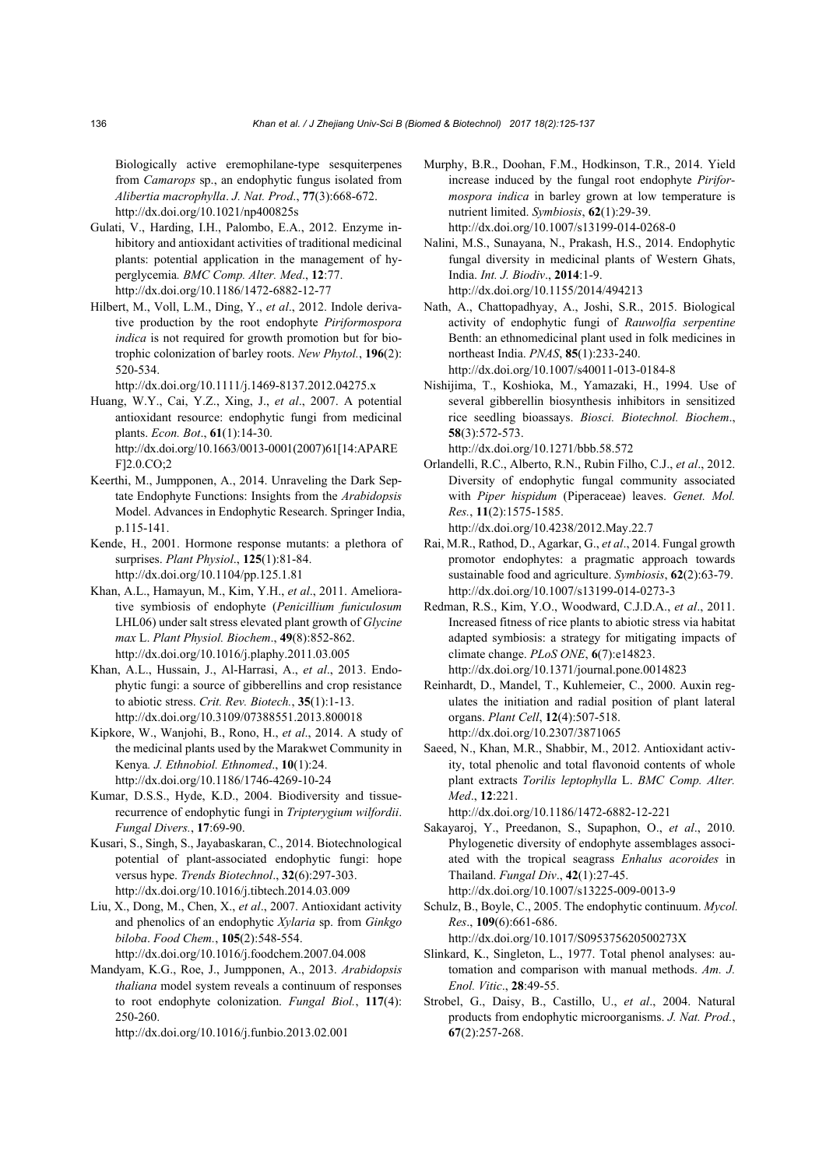Biologically active eremophilane-type sesquiterpenes from *Camarops* sp., an endophytic fungus isolated from *Alibertia macrophylla*. *J. Nat. Prod*., **77**(3):668-672. http://dx.doi.org/10.1021/np400825s

- Gulati, V., Harding, I.H., Palombo, E.A., 2012. Enzyme inhibitory and antioxidant activities of traditional medicinal plants: potential application in the management of hyperglycemia*. BMC Comp. Alter. Med*., **12**:77. http://dx.doi.org/10.1186/1472-6882-12-77
- Hilbert, M., Voll, L.M., Ding, Y., *et al*., 2012. Indole derivative production by the root endophyte *Piriformospora indica* is not required for growth promotion but for biotrophic colonization of barley roots. *New Phytol.*, **196**(2): 520-534.

http://dx.doi.org/10.1111/j.1469-8137.2012.04275.x

- Huang, W.Y., Cai, Y.Z., Xing, J., *et al*., 2007. A potential antioxidant resource: endophytic fungi from medicinal plants. *Econ. Bot*., **61**(1):14-30. http://dx.doi.org/10.1663/0013-0001(2007)61[14:APARE F]2.0.CO;2
- Keerthi, M., Jumpponen, A., 2014. Unraveling the Dark Septate Endophyte Functions: Insights from the *Arabidopsis* Model. Advances in Endophytic Research. Springer India, p.115-141.

Kende, H., 2001. Hormone response mutants: a plethora of surprises. *Plant Physiol*., **125**(1):81-84. http://dx.doi.org/10.1104/pp.125.1.81

Khan, A.L., Hamayun, M., Kim, Y.H., *et al*., 2011. Ameliorative symbiosis of endophyte (*Penicillium funiculosum* LHL06) under salt stress elevated plant growth of *Glycine max* L. *Plant Physiol. Biochem*., **49**(8):852-862. http://dx.doi.org/10.1016/j.plaphy.2011.03.005

Khan, A.L., Hussain, J., Al-Harrasi, A., *et al*., 2013. Endophytic fungi: a source of gibberellins and crop resistance to abiotic stress. *Crit. Rev. Biotech.*, **35**(1):1-13. http://dx.doi.org/10.3109/07388551.2013.800018

Kipkore, W., Wanjohi, B., Rono, H., *et al*., 2014. A study of the medicinal plants used by the Marakwet Community in Kenya*. J. Ethnobiol. Ethnomed*., **10**(1):24. http://dx.doi.org/10.1186/1746-4269-10-24

Kumar, D.S.S., Hyde, K.D., 2004. Biodiversity and tissuerecurrence of endophytic fungi in *Tripterygium wilfordii*. *Fungal Divers.*, **17**:69-90.

Kusari, S., Singh, S., Jayabaskaran, C., 2014. Biotechnological potential of plant-associated endophytic fungi: hope versus hype. *Trends Biotechnol*., **32**(6):297-303. http://dx.doi.org/10.1016/j.tibtech.2014.03.009

Liu, X., Dong, M., Chen, X., *et al*., 2007. Antioxidant activity and phenolics of an endophytic *Xylaria* sp. from *Ginkgo biloba*. *Food Chem.*, **105**(2):548-554. http://dx.doi.org/10.1016/j.foodchem.2007.04.008

Mandyam, K.G., Roe, J., Jumpponen, A., 2013. *Arabidopsis thaliana* model system reveals a continuum of responses to root endophyte colonization. *Fungal Biol.*, **117**(4): 250-260.

http://dx.doi.org/10.1016/j.funbio.2013.02.001

- Murphy, B.R., Doohan, F.M., Hodkinson, T.R., 2014. Yield increase induced by the fungal root endophyte *Piriformospora indica* in barley grown at low temperature is nutrient limited. *Symbiosis*, **62**(1):29-39. http://dx.doi.org/10.1007/s13199-014-0268-0
- Nalini, M.S., Sunayana, N., Prakash, H.S., 2014. Endophytic fungal diversity in medicinal plants of Western Ghats, India. *Int. J. Biodiv*., **2014**:1-9. http://dx.doi.org/10.1155/2014/494213
- Nath, A., Chattopadhyay, A., Joshi, S.R., 2015. Biological activity of endophytic fungi of *Rauwolfia serpentine* Benth: an ethnomedicinal plant used in folk medicines in northeast India. *PNAS*, **85**(1):233-240. http://dx.doi.org/10.1007/s40011-013-0184-8

Nishijima, T., Koshioka, M., Yamazaki, H., 1994. Use of several gibberellin biosynthesis inhibitors in sensitized rice seedling bioassays. *Biosci. Biotechnol. Biochem*., **58**(3):572-573. http://dx.doi.org/10.1271/bbb.58.572

Orlandelli, R.C., Alberto, R.N., Rubin Filho, C.J., *et al*., 2012. Diversity of endophytic fungal community associated with *Piper hispidum* (Piperaceae) leaves. *Genet. Mol. Res.*, **11**(2):1575-1585. http://dx.doi.org/10.4238/2012.May.22.7

- Rai, M.R., Rathod, D., Agarkar, G., *et al*., 2014. Fungal growth promotor endophytes: a pragmatic approach towards sustainable food and agriculture. *Symbiosis*, **62**(2):63-79. http://dx.doi.org/10.1007/s13199-014-0273-3
- Redman, R.S., Kim, Y.O., Woodward, C.J.D.A., *et al*., 2011. Increased fitness of rice plants to abiotic stress via habitat adapted symbiosis: a strategy for mitigating impacts of climate change. *PLoS ONE*, **6**(7):e14823. http://dx.doi.org/10.1371/journal.pone.0014823
- Reinhardt, D., Mandel, T., Kuhlemeier, C., 2000. Auxin regulates the initiation and radial position of plant lateral organs. *Plant Cell*, **12**(4):507-518. http://dx.doi.org/10.2307/3871065
- Saeed, N., Khan, M.R., Shabbir, M., 2012. Antioxidant activity, total phenolic and total flavonoid contents of whole plant extracts *Torilis leptophylla* L. *BMC Comp. Alter. Med*., **12**:221.

http://dx.doi.org/10.1186/1472-6882-12-221

- Sakayaroj, Y., Preedanon, S., Supaphon, O., *et al*., 2010. Phylogenetic diversity of endophyte assemblages associated with the tropical seagrass *Enhalus acoroides* in Thailand. *Fungal Div*., **42**(1):27-45.
- http://dx.doi.org/10.1007/s13225-009-0013-9 Schulz, B., Boyle, C., 2005. The endophytic continuum. *Mycol. Res*., **109**(6):661-686.

http://dx.doi.org/10.1017/S095375620500273X

- Slinkard, K., Singleton, L., 1977. Total phenol analyses: automation and comparison with manual methods. *Am. J. Enol. Vitic*., **28**:49-55.
- Strobel, G., Daisy, B., Castillo, U., *et al*., 2004. Natural products from endophytic microorganisms. *J. Nat. Prod.*, **67**(2):257-268.